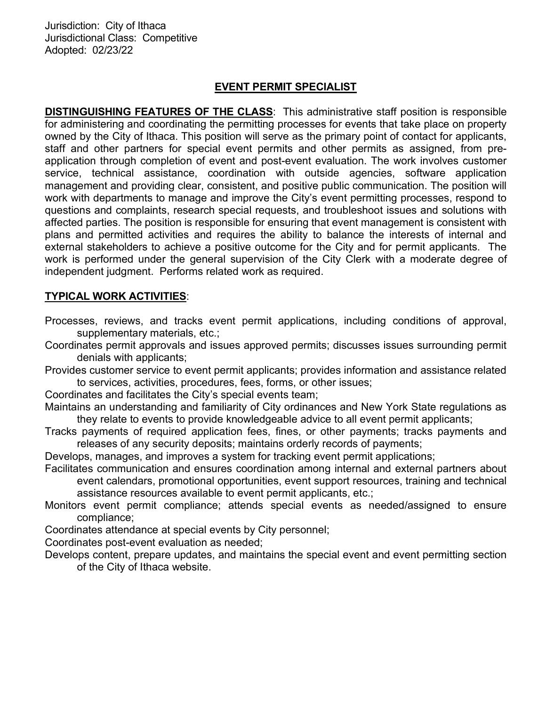Jurisdiction: City of Ithaca Jurisdictional Class: Competitive Adopted: 02/23/22

### EVENT PERMIT SPECIALIST

**DISTINGUISHING FEATURES OF THE CLASS:** This administrative staff position is responsible for administering and coordinating the permitting processes for events that take place on property owned by the City of Ithaca. This position will serve as the primary point of contact for applicants, staff and other partners for special event permits and other permits as assigned, from preapplication through completion of event and post-event evaluation. The work involves customer service, technical assistance, coordination with outside agencies, software application management and providing clear, consistent, and positive public communication. The position will work with departments to manage and improve the City's event permitting processes, respond to questions and complaints, research special requests, and troubleshoot issues and solutions with affected parties. The position is responsible for ensuring that event management is consistent with plans and permitted activities and requires the ability to balance the interests of internal and external stakeholders to achieve a positive outcome for the City and for permit applicants. The work is performed under the general supervision of the City Clerk with a moderate degree of independent judgment. Performs related work as required.

## TYPICAL WORK ACTIVITIES:

Processes, reviews, and tracks event permit applications, including conditions of approval, supplementary materials, etc.;

Coordinates permit approvals and issues approved permits; discusses issues surrounding permit denials with applicants;

Provides customer service to event permit applicants; provides information and assistance related to services, activities, procedures, fees, forms, or other issues;

Coordinates and facilitates the City's special events team;

- Maintains an understanding and familiarity of City ordinances and New York State regulations as they relate to events to provide knowledgeable advice to all event permit applicants;
- Tracks payments of required application fees, fines, or other payments; tracks payments and releases of any security deposits; maintains orderly records of payments;

Develops, manages, and improves a system for tracking event permit applications;

- Facilitates communication and ensures coordination among internal and external partners about event calendars, promotional opportunities, event support resources, training and technical assistance resources available to event permit applicants, etc.;
- Monitors event permit compliance; attends special events as needed/assigned to ensure compliance;

Coordinates attendance at special events by City personnel;

Coordinates post-event evaluation as needed;

Develops content, prepare updates, and maintains the special event and event permitting section of the City of Ithaca website.